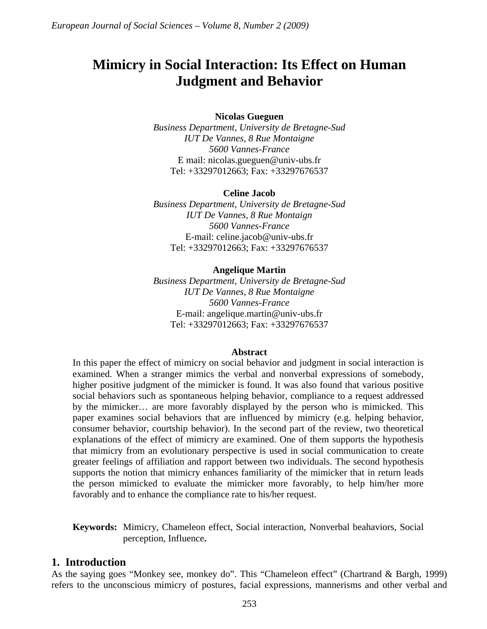# **Mimicry in Social Interaction: Its Effect on Human Judgment and Behavior**

### **Nicolas Gueguen**

*Business Department, University de Bretagne-Sud IUT De Vannes, 8 Rue Montaigne 5600 Vannes-France*  E mail: nicolas.gueguen@univ-ubs.fr Tel: +33297012663; Fax: +33297676537

### **Celine Jacob**

*Business Department, University de Bretagne-Sud IUT De Vannes, 8 Rue Montaign 5600 Vannes-France*  E-mail: celine.jacob@univ-ubs.fr Tel: +33297012663; Fax: +33297676537

### **Angelique Martin**

*Business Department, University de Bretagne-Sud IUT De Vannes, 8 Rue Montaigne 5600 Vannes-France*  E-mail: angelique.martin@univ-ubs.fr Tel: +33297012663; Fax: +33297676537

#### **Abstract**

In this paper the effect of mimicry on social behavior and judgment in social interaction is examined. When a stranger mimics the verbal and nonverbal expressions of somebody, higher positive judgment of the mimicker is found. It was also found that various positive social behaviors such as spontaneous helping behavior, compliance to a request addressed by the mimicker… are more favorably displayed by the person who is mimicked. This paper examines social behaviors that are influenced by mimicry (e.g. helping behavior, consumer behavior, courtship behavior). In the second part of the review, two theoretical explanations of the effect of mimicry are examined. One of them supports the hypothesis that mimicry from an evolutionary perspective is used in social communication to create greater feelings of affiliation and rapport between two individuals. The second hypothesis supports the notion that mimicry enhances familiarity of the mimicker that in return leads the person mimicked to evaluate the mimicker more favorably, to help him/her more favorably and to enhance the compliance rate to his/her request.

**Keywords:** Mimicry, Chameleon effect, Social interaction, Nonverbal beahaviors, Social perception, Influence**.** 

## **1. Introduction**

As the saying goes "Monkey see, monkey do". This "Chameleon effect" (Chartrand & Bargh, 1999) refers to the unconscious mimicry of postures, facial expressions, mannerisms and other verbal and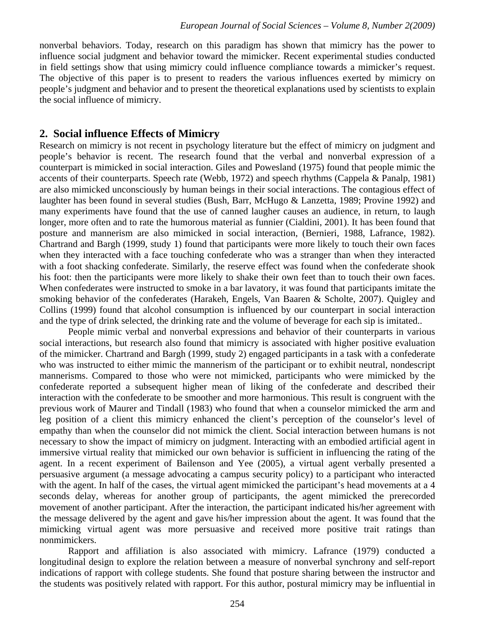nonverbal behaviors. Today, research on this paradigm has shown that mimicry has the power to influence social judgment and behavior toward the mimicker. Recent experimental studies conducted in field settings show that using mimicry could influence compliance towards a mimicker's request. The objective of this paper is to present to readers the various influences exerted by mimicry on people's judgment and behavior and to present the theoretical explanations used by scientists to explain the social influence of mimicry.

## **2. Social influence Effects of Mimicry**

Research on mimicry is not recent in psychology literature but the effect of mimicry on judgment and people's behavior is recent. The research found that the verbal and nonverbal expression of a counterpart is mimicked in social interaction. Giles and Powesland (1975) found that people mimic the accents of their counterparts. Speech rate (Webb, 1972) and speech rhythms (Cappela & Panalp, 1981) are also mimicked unconsciously by human beings in their social interactions. The contagious effect of laughter has been found in several studies (Bush, Barr, McHugo & Lanzetta, 1989; Provine 1992) and many experiments have found that the use of canned laugher causes an audience, in return, to laugh longer, more often and to rate the humorous material as funnier (Cialdini, 2001). It has been found that posture and mannerism are also mimicked in social interaction, (Bernieri, 1988, Lafrance, 1982). Chartrand and Bargh (1999, study 1) found that participants were more likely to touch their own faces when they interacted with a face touching confederate who was a stranger than when they interacted with a foot shacking confederate. Similarly, the reserve effect was found when the confederate shook his foot: then the participants were more likely to shake their own feet than to touch their own faces. When confederates were instructed to smoke in a bar lavatory, it was found that participants imitate the smoking behavior of the confederates (Harakeh, Engels, Van Baaren & Scholte, 2007). Quigley and Collins (1999) found that alcohol consumption is influenced by our counterpart in social interaction and the type of drink selected, the drinking rate and the volume of beverage for each sip is imitated..

People mimic verbal and nonverbal expressions and behavior of their counterparts in various social interactions, but research also found that mimicry is associated with higher positive evaluation of the mimicker. Chartrand and Bargh (1999, study 2) engaged participants in a task with a confederate who was instructed to either mimic the mannerism of the participant or to exhibit neutral, nondescript mannerisms. Compared to those who were not mimicked, participants who were mimicked by the confederate reported a subsequent higher mean of liking of the confederate and described their interaction with the confederate to be smoother and more harmonious. This result is congruent with the previous work of Maurer and Tindall (1983) who found that when a counselor mimicked the arm and leg position of a client this mimicry enhanced the client's perception of the counselor's level of empathy than when the counselor did not mimick the client. Social interaction between humans is not necessary to show the impact of mimicry on judgment. Interacting with an embodied artificial agent in immersive virtual reality that mimicked our own behavior is sufficient in influencing the rating of the agent. In a recent experiment of Bailenson and Yee (2005), a virtual agent verbally presented a persuasive argument (a message advocating a campus security policy) to a participant who interacted with the agent. In half of the cases, the virtual agent mimicked the participant's head movements at a 4 seconds delay, whereas for another group of participants, the agent mimicked the prerecorded movement of another participant. After the interaction, the participant indicated his/her agreement with the message delivered by the agent and gave his/her impression about the agent. It was found that the mimicking virtual agent was more persuasive and received more positive trait ratings than nonmimickers.

Rapport and affiliation is also associated with mimicry. Lafrance (1979) conducted a longitudinal design to explore the relation between a measure of nonverbal synchrony and self-report indications of rapport with college students. She found that posture sharing between the instructor and the students was positively related with rapport. For this author, postural mimicry may be influential in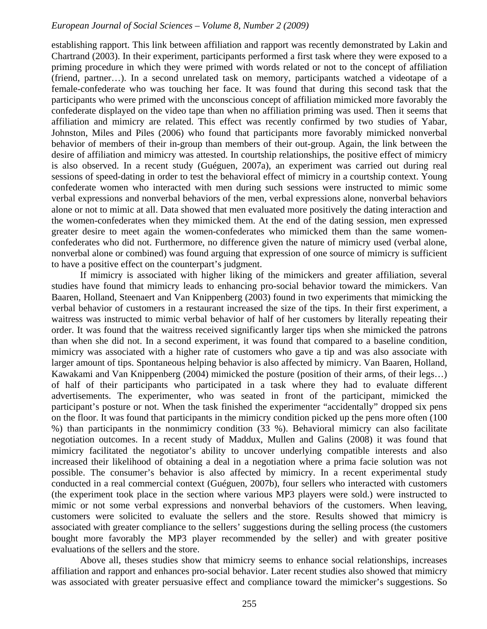## *European Journal of Social Sciences – Volume 8, Number 2 (2009)*

establishing rapport. This link between affiliation and rapport was recently demonstrated by Lakin and Chartrand (2003). In their experiment, participants performed a first task where they were exposed to a priming procedure in which they were primed with words related or not to the concept of affiliation (friend, partner…). In a second unrelated task on memory, participants watched a videotape of a female-confederate who was touching her face. It was found that during this second task that the participants who were primed with the unconscious concept of affiliation mimicked more favorably the confederate displayed on the video tape than when no affiliation priming was used. Then it seems that affiliation and mimicry are related. This effect was recently confirmed by two studies of Yabar, Johnston, Miles and Piles (2006) who found that participants more favorably mimicked nonverbal behavior of members of their in-group than members of their out-group. Again, the link between the desire of affiliation and mimicry was attested. In courtship relationships, the positive effect of mimicry is also observed. In a recent study (Guéguen, 2007a), an experiment was carried out during real sessions of speed-dating in order to test the behavioral effect of mimicry in a courtship context. Young confederate women who interacted with men during such sessions were instructed to mimic some verbal expressions and nonverbal behaviors of the men, verbal expressions alone, nonverbal behaviors alone or not to mimic at all. Data showed that men evaluated more positively the dating interaction and the women-confederates when they mimicked them. At the end of the dating session, men expressed greater desire to meet again the women-confederates who mimicked them than the same womenconfederates who did not. Furthermore, no difference given the nature of mimicry used (verbal alone, nonverbal alone or combined) was found arguing that expression of one source of mimicry is sufficient to have a positive effect on the counterpart's judgment.

If mimicry is associated with higher liking of the mimickers and greater affiliation, several studies have found that mimicry leads to enhancing pro-social behavior toward the mimickers. Van Baaren, Holland, Steenaert and Van Knippenberg (2003) found in two experiments that mimicking the verbal behavior of customers in a restaurant increased the size of the tips. In their first experiment, a waitress was instructed to mimic verbal behavior of half of her customers by literally repeating their order. It was found that the waitress received significantly larger tips when she mimicked the patrons than when she did not. In a second experiment, it was found that compared to a baseline condition, mimicry was associated with a higher rate of customers who gave a tip and was also associate with larger amount of tips. Spontaneous helping behavior is also affected by mimicry. Van Baaren, Holland, Kawakami and Van Knippenberg (2004) mimicked the posture (position of their arms, of their legs…) of half of their participants who participated in a task where they had to evaluate different advertisements. The experimenter, who was seated in front of the participant, mimicked the participant's posture or not. When the task finished the experimenter "accidentally" dropped six pens on the floor. It was found that participants in the mimicry condition picked up the pens more often (100 %) than participants in the nonmimicry condition (33 %). Behavioral mimicry can also facilitate negotiation outcomes. In a recent study of Maddux, Mullen and Galins (2008) it was found that mimicry facilitated the negotiator's ability to uncover underlying compatible interests and also increased their likelihood of obtaining a deal in a negotiation where a prima facie solution was not possible. The consumer's behavior is also affected by mimicry. In a recent experimental study conducted in a real commercial context (Guéguen, 2007b), four sellers who interacted with customers (the experiment took place in the section where various MP3 players were sold.) were instructed to mimic or not some verbal expressions and nonverbal behaviors of the customers. When leaving, customers were solicited to evaluate the sellers and the store. Results showed that mimicry is associated with greater compliance to the sellers' suggestions during the selling process (the customers bought more favorably the MP3 player recommended by the seller) and with greater positive evaluations of the sellers and the store.

Above all, theses studies show that mimicry seems to enhance social relationships, increases affiliation and rapport and enhances pro-social behavior. Later recent studies also showed that mimicry was associated with greater persuasive effect and compliance toward the mimicker's suggestions. So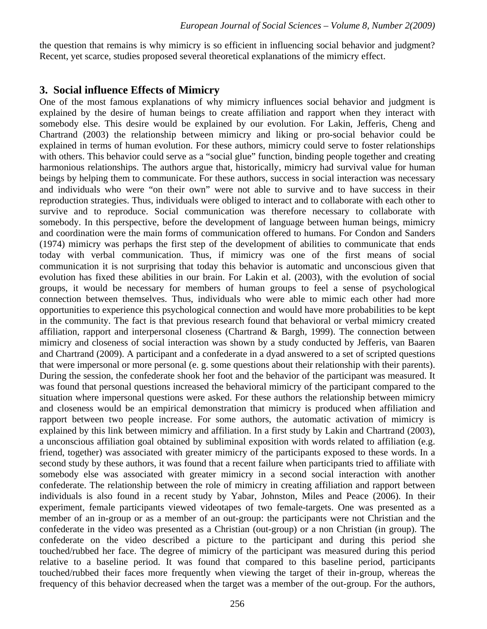the question that remains is why mimicry is so efficient in influencing social behavior and judgment? Recent, yet scarce, studies proposed several theoretical explanations of the mimicry effect.

## **3. Social influence Effects of Mimicry**

One of the most famous explanations of why mimicry influences social behavior and judgment is explained by the desire of human beings to create affiliation and rapport when they interact with somebody else. This desire would be explained by our evolution. For Lakin, Jefferis, Cheng and Chartrand (2003) the relationship between mimicry and liking or pro-social behavior could be explained in terms of human evolution. For these authors, mimicry could serve to foster relationships with others. This behavior could serve as a "social glue" function, binding people together and creating harmonious relationships. The authors argue that, historically, mimicry had survival value for human beings by helping them to communicate. For these authors, success in social interaction was necessary and individuals who were "on their own" were not able to survive and to have success in their reproduction strategies. Thus, individuals were obliged to interact and to collaborate with each other to survive and to reproduce. Social communication was therefore necessary to collaborate with somebody. In this perspective, before the development of language between human beings, mimicry and coordination were the main forms of communication offered to humans. For Condon and Sanders (1974) mimicry was perhaps the first step of the development of abilities to communicate that ends today with verbal communication. Thus, if mimicry was one of the first means of social communication it is not surprising that today this behavior is automatic and unconscious given that evolution has fixed these abilities in our brain. For Lakin et al. (2003), with the evolution of social groups, it would be necessary for members of human groups to feel a sense of psychological connection between themselves. Thus, individuals who were able to mimic each other had more opportunities to experience this psychological connection and would have more probabilities to be kept in the community. The fact is that previous research found that behavioral or verbal mimicry created affiliation, rapport and interpersonal closeness (Chartrand & Bargh, 1999). The connection between mimicry and closeness of social interaction was shown by a study conducted by Jefferis, van Baaren and Chartrand (2009). A participant and a confederate in a dyad answered to a set of scripted questions that were impersonal or more personal (e. g. some questions about their relationship with their parents). During the session, the confederate shook her foot and the behavior of the participant was measured. It was found that personal questions increased the behavioral mimicry of the participant compared to the situation where impersonal questions were asked. For these authors the relationship between mimicry and closeness would be an empirical demonstration that mimicry is produced when affiliation and rapport between two people increase. For some authors, the automatic activation of mimicry is explained by this link between mimicry and affiliation. In a first study by Lakin and Chartrand (2003), a unconscious affiliation goal obtained by subliminal exposition with words related to affiliation (e.g. friend, together) was associated with greater mimicry of the participants exposed to these words. In a second study by these authors, it was found that a recent failure when participants tried to affiliate with somebody else was associated with greater mimicry in a second social interaction with another confederate. The relationship between the role of mimicry in creating affiliation and rapport between individuals is also found in a recent study by Yabar, Johnston, Miles and Peace (2006). In their experiment, female participants viewed videotapes of two female-targets. One was presented as a member of an in-group or as a member of an out-group: the participants were not Christian and the confederate in the video was presented as a Christian (out-group) or a non Christian (in group). The confederate on the video described a picture to the participant and during this period she touched/rubbed her face. The degree of mimicry of the participant was measured during this period relative to a baseline period. It was found that compared to this baseline period, participants touched/rubbed their faces more frequently when viewing the target of their in-group, whereas the frequency of this behavior decreased when the target was a member of the out-group. For the authors,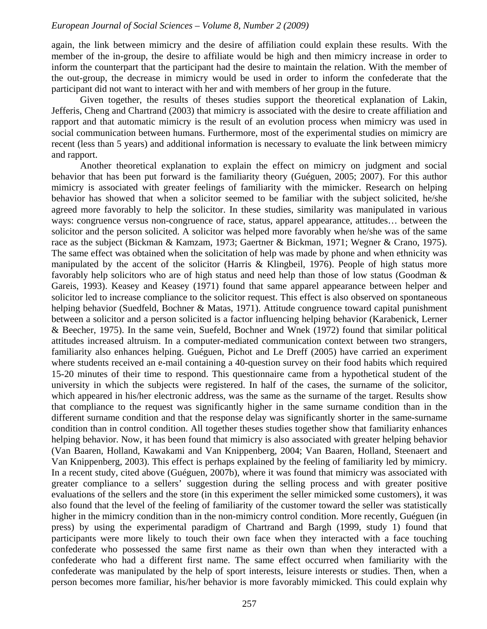again, the link between mimicry and the desire of affiliation could explain these results. With the member of the in-group, the desire to affiliate would be high and then mimicry increase in order to inform the counterpart that the participant had the desire to maintain the relation. With the member of the out-group, the decrease in mimicry would be used in order to inform the confederate that the participant did not want to interact with her and with members of her group in the future.

Given together, the results of theses studies support the theoretical explanation of Lakin, Jefferis, Cheng and Chartrand (2003) that mimicry is associated with the desire to create affiliation and rapport and that automatic mimicry is the result of an evolution process when mimicry was used in social communication between humans. Furthermore, most of the experimental studies on mimicry are recent (less than 5 years) and additional information is necessary to evaluate the link between mimicry and rapport.

Another theoretical explanation to explain the effect on mimicry on judgment and social behavior that has been put forward is the familiarity theory (Guéguen, 2005; 2007). For this author mimicry is associated with greater feelings of familiarity with the mimicker. Research on helping behavior has showed that when a solicitor seemed to be familiar with the subject solicited, he/she agreed more favorably to help the solicitor. In these studies, similarity was manipulated in various ways: congruence versus non-congruence of race, status, apparel appearance, attitudes… between the solicitor and the person solicited. A solicitor was helped more favorably when he/she was of the same race as the subject (Bickman & Kamzam, 1973; Gaertner & Bickman, 1971; Wegner & Crano, 1975). The same effect was obtained when the solicitation of help was made by phone and when ethnicity was manipulated by the accent of the solicitor (Harris & Klingbeil, 1976). People of high status more favorably help solicitors who are of high status and need help than those of low status (Goodman & Gareis, 1993). Keasey and Keasey (1971) found that same apparel appearance between helper and solicitor led to increase compliance to the solicitor request. This effect is also observed on spontaneous helping behavior (Suedfeld, Bochner & Matas, 1971). Attitude congruence toward capital punishment between a solicitor and a person solicited is a factor influencing helping behavior (Karabenick, Lerner & Beecher, 1975). In the same vein, Suefeld, Bochner and Wnek (1972) found that similar political attitudes increased altruism. In a computer-mediated communication context between two strangers, familiarity also enhances helping. Guéguen, Pichot and Le Dreff (2005) have carried an experiment where students received an e-mail containing a 40-question survey on their food habits which required 15-20 minutes of their time to respond. This questionnaire came from a hypothetical student of the university in which the subjects were registered. In half of the cases, the surname of the solicitor, which appeared in his/her electronic address, was the same as the surname of the target. Results show that compliance to the request was significantly higher in the same surname condition than in the different surname condition and that the response delay was significantly shorter in the same-surname condition than in control condition. All together theses studies together show that familiarity enhances helping behavior. Now, it has been found that mimicry is also associated with greater helping behavior (Van Baaren, Holland, Kawakami and Van Knippenberg, 2004; Van Baaren, Holland, Steenaert and Van Knippenberg, 2003). This effect is perhaps explained by the feeling of familiarity led by mimicry. In a recent study, cited above (Guéguen, 2007b), where it was found that mimicry was associated with greater compliance to a sellers' suggestion during the selling process and with greater positive evaluations of the sellers and the store (in this experiment the seller mimicked some customers), it was also found that the level of the feeling of familiarity of the customer toward the seller was statistically higher in the mimicry condition than in the non-mimicry control condition. More recently, Guéguen (in press) by using the experimental paradigm of Chartrand and Bargh (1999, study 1) found that participants were more likely to touch their own face when they interacted with a face touching confederate who possessed the same first name as their own than when they interacted with a confederate who had a different first name. The same effect occurred when familiarity with the confederate was manipulated by the help of sport interests, leisure interests or studies. Then, when a person becomes more familiar, his/her behavior is more favorably mimicked. This could explain why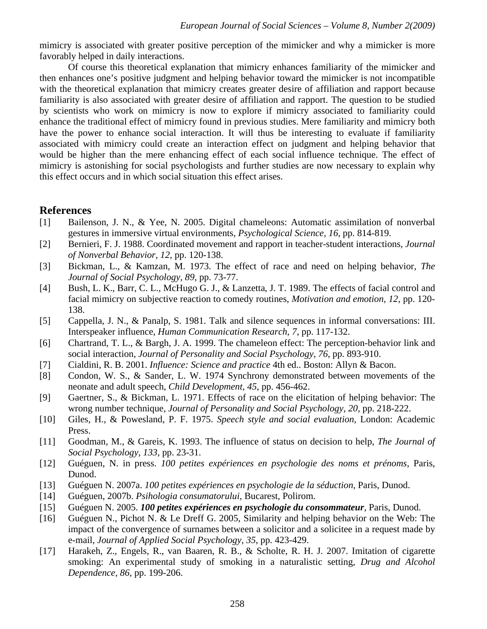mimicry is associated with greater positive perception of the mimicker and why a mimicker is more favorably helped in daily interactions.

Of course this theoretical explanation that mimicry enhances familiarity of the mimicker and then enhances one's positive judgment and helping behavior toward the mimicker is not incompatible with the theoretical explanation that mimicry creates greater desire of affiliation and rapport because familiarity is also associated with greater desire of affiliation and rapport. The question to be studied by scientists who work on mimicry is now to explore if mimicry associated to familiarity could enhance the traditional effect of mimicry found in previous studies. Mere familiarity and mimicry both have the power to enhance social interaction. It will thus be interesting to evaluate if familiarity associated with mimicry could create an interaction effect on judgment and helping behavior that would be higher than the mere enhancing effect of each social influence technique. The effect of mimicry is astonishing for social psychologists and further studies are now necessary to explain why this effect occurs and in which social situation this effect arises.

# **References**

- [1] Bailenson, J. N., & Yee, N. 2005. Digital chameleons: Automatic assimilation of nonverbal gestures in immersive virtual environments, *Psychological Science, 16*, pp. 814-819.
- [2] Bernieri, F. J. 1988. Coordinated movement and rapport in teacher-student interactions, *Journal of Nonverbal Behavior, 12,* pp. 120-138.
- [3] Bickman, L., & Kamzan, M. 1973. The effect of race and need on helping behavior, *The Journal of Social Psychology, 89,* pp. 73-77.
- [4] Bush, L. K., Barr, C. L., McHugo G. J., & Lanzetta, J. T. 1989. The effects of facial control and facial mimicry on subjective reaction to comedy routines, *Motivation and emotion, 12*, pp. 120- 138.
- [5] Cappella, J. N., & Panalp, S. 1981. Talk and silence sequences in informal conversations: III. Interspeaker influence, *Human Communication Research, 7*, pp. 117-132.
- [6] Chartrand, T. L., & Bargh, J. A. 1999. The chameleon effect: The perception-behavior link and social interaction, *Journal of Personality and Social Psychology, 76*, pp. 893-910.
- [7] Cialdini, R. B. 2001. *Influence: Science and practice* 4th ed.. Boston: Allyn & Bacon.
- [8] Condon, W. S., & Sander, L. W. 1974 Synchrony demonstrated between movements of the neonate and adult speech, *Child Development, 45*, pp. 456-462.
- [9] Gaertner, S., & Bickman, L. 1971. Effects of race on the elicitation of helping behavior: The wrong number technique, *Journal of Personality and Social Psychology, 20,* pp. 218-222.
- [10] Giles, H., & Powesland, P. F. 1975. *Speech style and social evaluation*, London: Academic Press.
- [11] Goodman, M., & Gareis, K. 1993. The influence of status on decision to help, *The Journal of Social Psychology, 133*, pp. 23-31.
- [12] Guéguen, N. in press. *100 petites expériences en psychologie des noms et prénoms,* Paris, Dunod.
- [13] Guéguen N. 2007a. *100 petites expériences en psychologie de la séduction*, Paris, Dunod.
- [14] Guéguen, 2007b. *Psihologia consumatorului*, Bucarest, Polirom.
- [15] Guéguen N. 2005. *100 petites expériences en psychologie du consommateur*, Paris, Dunod.
- [16] Guéguen N., Pichot N. & Le Dreff G. 2005, Similarity and helping behavior on the Web: The impact of the convergence of surnames between a solicitor and a solicitee in a request made by e-mail, *Journal of Applied Social Psychology, 35*, pp. 423-429.
- [17] Harakeh, Z., Engels, R., van Baaren, R. B., & Scholte, R. H. J. 2007. Imitation of cigarette smoking: An experimental study of smoking in a naturalistic setting, *Drug and Alcohol Dependence, 86*, pp. 199-206.